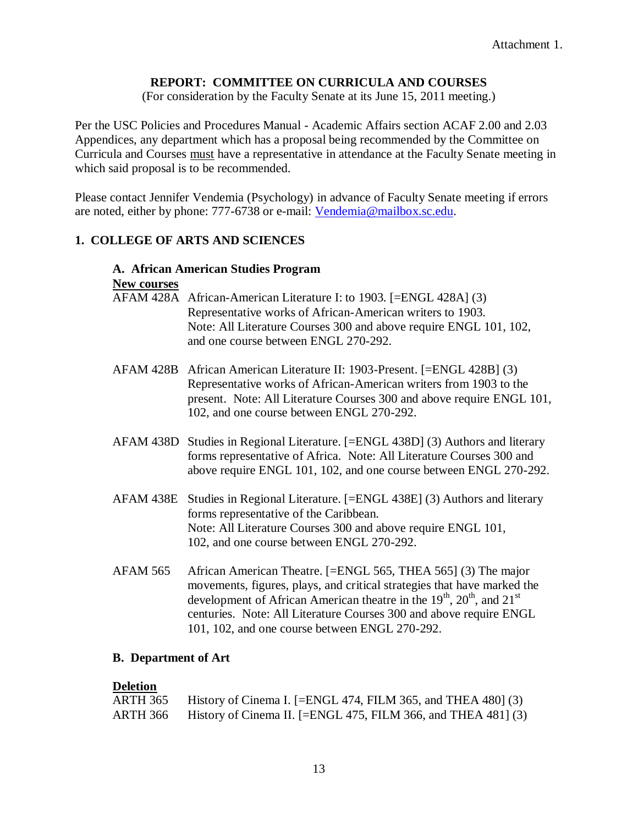# **REPORT: COMMITTEE ON CURRICULA AND COURSES**

(For consideration by the Faculty Senate at its June 15, 2011 meeting.)

Per the USC Policies and Procedures Manual - Academic Affairs section ACAF 2.00 and 2.03 Appendices, any department which has a proposal being recommended by the Committee on Curricula and Courses must have a representative in attendance at the Faculty Senate meeting in which said proposal is to be recommended.

Please contact Jennifer Vendemia (Psychology) in advance of Faculty Senate meeting if errors are noted, either by phone: 777-6738 or e-mail: [Vendemia@mailbox.sc.edu.](mailto:Vendemia@mailbox.sc.edu)

# **1. COLLEGE OF ARTS AND SCIENCES**

#### **A. African American Studies Program New courses**

| AFAM 428A African-American Literature I: to 1903. [=ENGL 428A] (3) |
|--------------------------------------------------------------------|
| Representative works of African-American writers to 1903.          |
| Note: All Literature Courses 300 and above require ENGL 101, 102,  |
| and one course between ENGL 270-292.                               |

- AFAM 428B African American Literature II: 1903-Present. [=ENGL 428B] (3) Representative works of African-American writers from 1903 to the present. Note: All Literature Courses 300 and above require ENGL 101, 102, and one course between ENGL 270-292.
- AFAM 438D Studies in Regional Literature. [=ENGL 438D] (3) Authors and literary forms representative of Africa. Note: All Literature Courses 300 and above require ENGL 101, 102, and one course between ENGL 270-292.
- AFAM 438E Studies in Regional Literature. [=ENGL 438E] (3) Authors and literary forms representative of the Caribbean. Note: All Literature Courses 300 and above require ENGL 101, 102, and one course between ENGL 270-292.
- AFAM 565 African American Theatre. [=ENGL 565, THEA 565] (3) The major movements, figures, plays, and critical strategies that have marked the development of African American theatre in the  $19<sup>th</sup>$ ,  $20<sup>th</sup>$ , and  $21<sup>st</sup>$ centuries. Note: All Literature Courses 300 and above require ENGL 101, 102, and one course between ENGL 270-292.

# **B. Department of Art**

# **Deletion**

| ARTH 365 | History of Cinema I. [=ENGL 474, FILM 365, and THEA 480] (3)  |
|----------|---------------------------------------------------------------|
| ARTH 366 | History of Cinema II. [=ENGL 475, FILM 366, and THEA 481] (3) |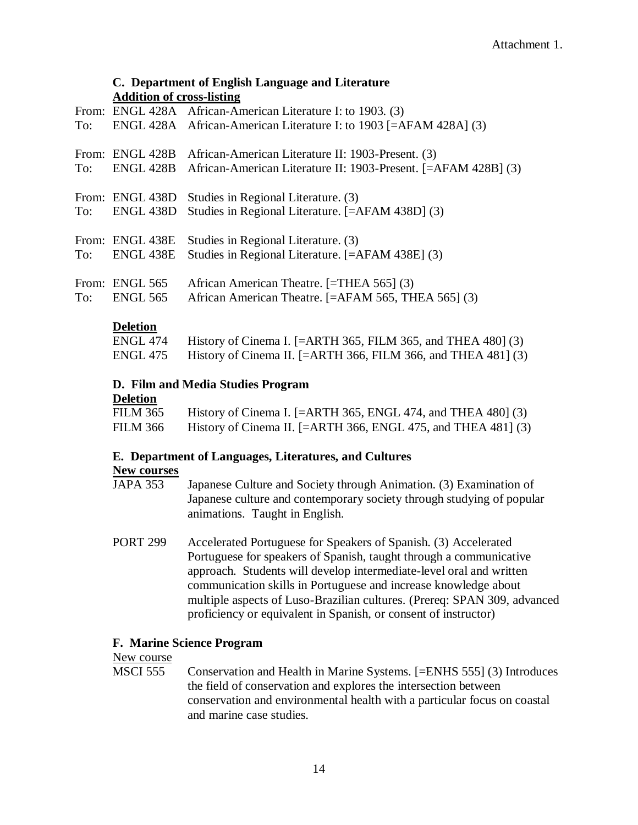#### **C. Department of English Language and Literature Addition of cross-listing**

|     | rigatuon of cross msting |                                                                              |
|-----|--------------------------|------------------------------------------------------------------------------|
|     |                          | From: ENGL 428A African-American Literature I: to 1903. (3)                  |
| To: |                          | ENGL 428A African-American Literature I: to 1903 [=AFAM 428A] (3)            |
|     |                          | From: ENGL 428B African-American Literature II: 1903-Present. (3)            |
|     |                          | To: ENGL 428B African-American Literature II: 1903-Present. [=AFAM 428B] (3) |
|     |                          | From: ENGL 438D Studies in Regional Literature. (3)                          |
|     |                          | To: ENGL 438D Studies in Regional Literature. [=AFAM 438D] (3)               |
|     |                          | From: ENGL 438E Studies in Regional Literature. (3)                          |
|     | To: ENGL 438E            | Studies in Regional Literature. [=AFAM 438E] (3)                             |
|     | From: ENGL 565           | African American Theatre. [=THEA 565] (3)                                    |
| To: | <b>ENGL 565</b>          | African American Theatre. [=AFAM 565, THEA 565] (3)                          |

#### **Deletion**

| ENGL 474 History of Cinema I. $[=ARTH 365, FILM 365,$ and THEA 480 $]$ (3) |
|----------------------------------------------------------------------------|
| ENGL 475 History of Cinema II. [=ARTH 366, FILM 366, and THEA 481] $(3)$   |

### **D. Film and Media Studies Program**

#### **Deletion**

| FILM 365 | History of Cinema I. $[=ARTH 365, ENGL 474,$ and THEA 480 $]$ (3) |
|----------|-------------------------------------------------------------------|
| FILM 366 | History of Cinema II. [ $=$ ARTH 366, ENGL 475, and THEA 481] (3) |

# **E. Department of Languages, Literatures, and Cultures**

#### **New courses**

| <b>JAPA 353</b> | Japanese Culture and Society through Animation. (3) Examination of    |
|-----------------|-----------------------------------------------------------------------|
|                 | Japanese culture and contemporary society through studying of popular |
|                 | animations. Taught in English.                                        |

PORT 299 Accelerated Portuguese for Speakers of Spanish. (3) Accelerated Portuguese for speakers of Spanish, taught through a communicative approach. Students will develop intermediate-level oral and written communication skills in Portuguese and increase knowledge about multiple aspects of Luso-Brazilian cultures. (Prereq: SPAN 309, advanced proficiency or equivalent in Spanish, or consent of instructor)

#### **F. Marine Science Program**

#### New course

MSCI 555 Conservation and Health in Marine Systems. [=ENHS 555] (3) Introduces the field of conservation and explores the intersection between conservation and environmental health with a particular focus on coastal and marine case studies.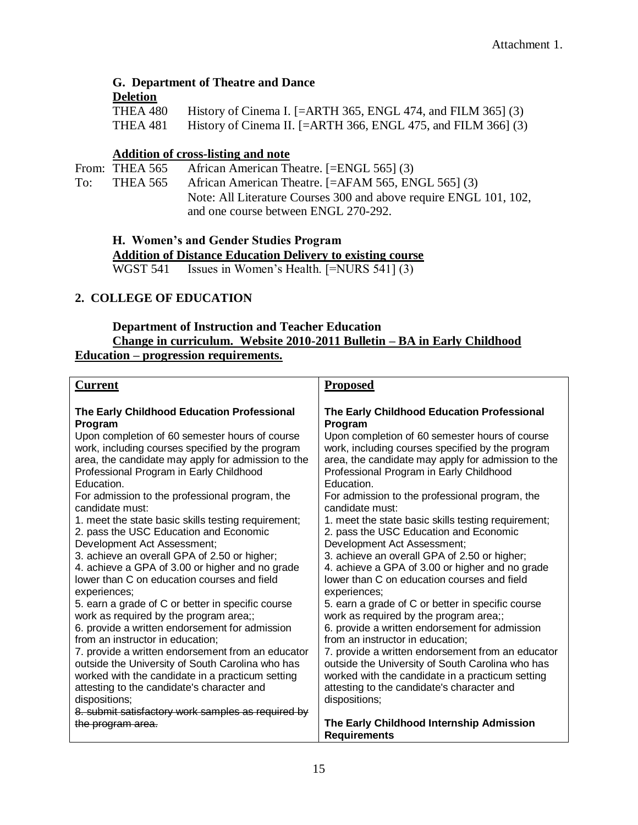# **G. Department of Theatre and Dance**

#### **Deletion**

|          | THEA 480 History of Cinema I. $[=ARTH 365, ENGL 474,$ and FILM 365] (3) |
|----------|-------------------------------------------------------------------------|
| THEA 481 | History of Cinema II. [=ARTH 366, ENGL 475, and FILM 366] $(3)$         |

### **Addition of cross-listing and note**

From: THEA 565 African American Theatre. [=ENGL 565] (3) To: THEA 565 African American Theatre. [=AFAM 565, ENGL 565] (3) Note: All Literature Courses 300 and above require ENGL 101, 102, and one course between ENGL 270-292.

**H. Women's and Gender Studies Program**

**Addition of Distance Education Delivery to existing course** WGST 541 Issues in Women's Health. [=NURS 541] (3)

# **2. COLLEGE OF EDUCATION**

#### **Department of Instruction and Teacher Education Change in curriculum. Website 2010-2011 Bulletin – BA in Early Childhood Education – progression requirements.**

| <b>Current</b>                                                                                     | <b>Proposed</b>                                                                                    |
|----------------------------------------------------------------------------------------------------|----------------------------------------------------------------------------------------------------|
| The Early Childhood Education Professional                                                         | The Early Childhood Education Professional                                                         |
| Program                                                                                            | Program                                                                                            |
| Upon completion of 60 semester hours of course<br>work, including courses specified by the program | Upon completion of 60 semester hours of course<br>work, including courses specified by the program |
| area, the candidate may apply for admission to the                                                 | area, the candidate may apply for admission to the                                                 |
| Professional Program in Early Childhood<br>Education.                                              | Professional Program in Early Childhood<br>Education.                                              |
| For admission to the professional program, the<br>candidate must:                                  | For admission to the professional program, the<br>candidate must:                                  |
| 1. meet the state basic skills testing requirement;                                                | 1. meet the state basic skills testing requirement;                                                |
| 2. pass the USC Education and Economic                                                             | 2. pass the USC Education and Economic                                                             |
| Development Act Assessment;                                                                        | Development Act Assessment;                                                                        |
| 3. achieve an overall GPA of 2.50 or higher;                                                       | 3. achieve an overall GPA of 2.50 or higher;                                                       |
| 4. achieve a GPA of 3.00 or higher and no grade                                                    | 4. achieve a GPA of 3.00 or higher and no grade                                                    |
| lower than C on education courses and field<br>experiences;                                        | lower than C on education courses and field<br>experiences;                                        |
| 5. earn a grade of C or better in specific course                                                  | 5. earn a grade of C or better in specific course                                                  |
| work as required by the program area;;                                                             | work as required by the program area;;                                                             |
| 6. provide a written endorsement for admission                                                     | 6. provide a written endorsement for admission                                                     |
| from an instructor in education;                                                                   | from an instructor in education;                                                                   |
| 7. provide a written endorsement from an educator                                                  | 7. provide a written endorsement from an educator                                                  |
| outside the University of South Carolina who has                                                   | outside the University of South Carolina who has                                                   |
| worked with the candidate in a practicum setting                                                   | worked with the candidate in a practicum setting                                                   |
| attesting to the candidate's character and                                                         | attesting to the candidate's character and                                                         |
| dispositions;                                                                                      | dispositions;                                                                                      |
| 8. submit satisfactory work samples as required by                                                 |                                                                                                    |
| the program area.                                                                                  | The Early Childhood Internship Admission                                                           |
|                                                                                                    | <b>Requirements</b>                                                                                |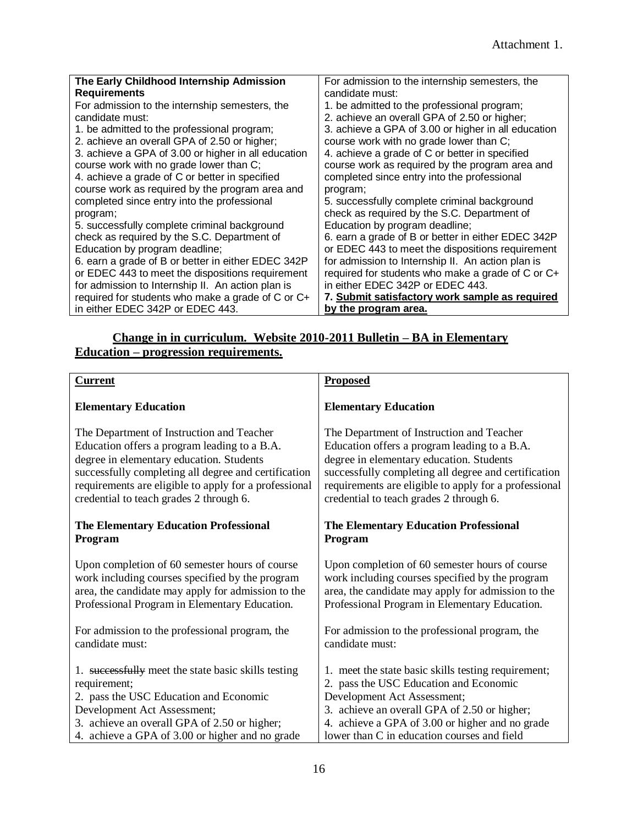| The Early Childhood Internship Admission            | For admission to the internship semesters, the      |
|-----------------------------------------------------|-----------------------------------------------------|
| <b>Requirements</b>                                 | candidate must:                                     |
| For admission to the internship semesters, the      | 1. be admitted to the professional program;         |
| candidate must:                                     | 2. achieve an overall GPA of 2.50 or higher;        |
| 1. be admitted to the professional program;         | 3. achieve a GPA of 3.00 or higher in all education |
| 2. achieve an overall GPA of 2.50 or higher;        | course work with no grade lower than C;             |
| 3. achieve a GPA of 3.00 or higher in all education | 4. achieve a grade of C or better in specified      |
| course work with no grade lower than C;             | course work as required by the program area and     |
| 4. achieve a grade of C or better in specified      | completed since entry into the professional         |
| course work as required by the program area and     | program;                                            |
| completed since entry into the professional         | 5. successfully complete criminal background        |
| program;                                            | check as required by the S.C. Department of         |
| 5. successfully complete criminal background        | Education by program deadline;                      |
| check as required by the S.C. Department of         | 6. earn a grade of B or better in either EDEC 342P  |
| Education by program deadline;                      | or EDEC 443 to meet the dispositions requirement    |
| 6. earn a grade of B or better in either EDEC 342P  | for admission to Internship II. An action plan is   |
| or EDEC 443 to meet the dispositions requirement    | required for students who make a grade of C or C+   |
| for admission to Internship II. An action plan is   | in either EDEC 342P or EDEC 443.                    |
| required for students who make a grade of C or C+   | 7. Submit satisfactory work sample as required      |
| in either EDEC 342P or EDEC 443.                    | by the program area.                                |

# **Change in in curriculum. Website 2010-2011 Bulletin – BA in Elementary Education – progression requirements.**

| <b>Current</b>                                        | <b>Proposed</b>                                       |
|-------------------------------------------------------|-------------------------------------------------------|
| <b>Elementary Education</b>                           | <b>Elementary Education</b>                           |
| The Department of Instruction and Teacher             | The Department of Instruction and Teacher             |
| Education offers a program leading to a B.A.          | Education offers a program leading to a B.A.          |
| degree in elementary education. Students              | degree in elementary education. Students              |
| successfully completing all degree and certification  | successfully completing all degree and certification  |
| requirements are eligible to apply for a professional | requirements are eligible to apply for a professional |
| credential to teach grades 2 through 6.               | credential to teach grades 2 through 6.               |
| <b>The Elementary Education Professional</b>          | <b>The Elementary Education Professional</b>          |
| Program                                               | Program                                               |
| Upon completion of 60 semester hours of course        | Upon completion of 60 semester hours of course        |
| work including courses specified by the program       | work including courses specified by the program       |
| area, the candidate may apply for admission to the    | area, the candidate may apply for admission to the    |
| Professional Program in Elementary Education.         | Professional Program in Elementary Education.         |
| For admission to the professional program, the        | For admission to the professional program, the        |
| candidate must:                                       | candidate must:                                       |
| 1. successfully meet the state basic skills testing   | 1. meet the state basic skills testing requirement;   |
| requirement;                                          | 2. pass the USC Education and Economic                |
| 2. pass the USC Education and Economic                | Development Act Assessment;                           |
| Development Act Assessment;                           | 3. achieve an overall GPA of 2.50 or higher;          |
| 3. achieve an overall GPA of 2.50 or higher;          | 4. achieve a GPA of 3.00 or higher and no grade       |
| 4. achieve a GPA of 3.00 or higher and no grade       | lower than C in education courses and field           |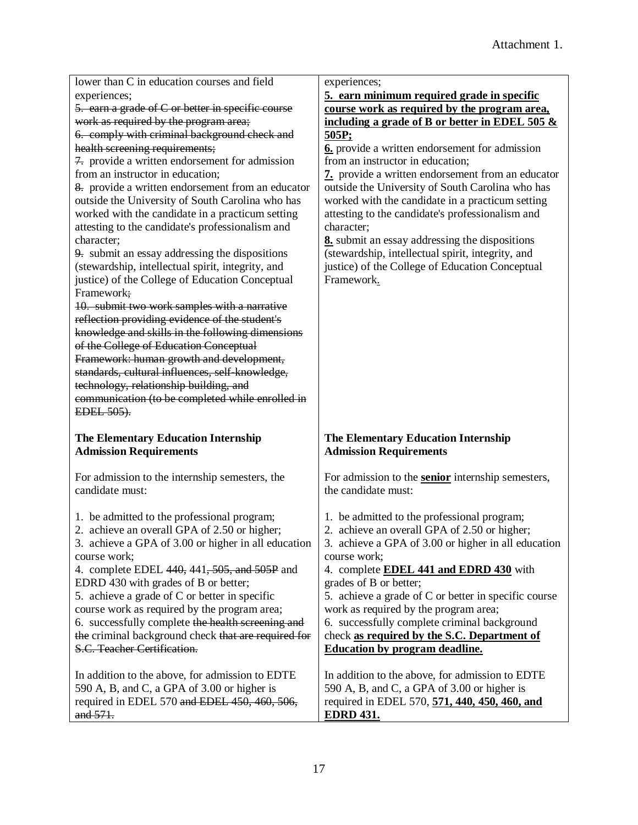| lower than C in education courses and field                                        | experiences;                                             |
|------------------------------------------------------------------------------------|----------------------------------------------------------|
| experiences;                                                                       | 5. earn minimum required grade in specific               |
| 5. earn a grade of C or better in specific course                                  | course work as required by the program area,             |
| work as required by the program area;                                              | including a grade of B or better in EDEL 505 $\&$        |
| 6. comply with criminal background check and                                       | 505P;                                                    |
| health screening requirements;                                                     | 6. provide a written endorsement for admission           |
| 7. provide a written endorsement for admission                                     | from an instructor in education;                         |
| from an instructor in education;                                                   | 7. provide a written endorsement from an educator        |
| 8. provide a written endorsement from an educator                                  | outside the University of South Carolina who has         |
| outside the University of South Carolina who has                                   | worked with the candidate in a practicum setting         |
| worked with the candidate in a practicum setting                                   | attesting to the candidate's professionalism and         |
| attesting to the candidate's professionalism and                                   | character;                                               |
| character;                                                                         | 8. submit an essay addressing the dispositions           |
| 9. submit an essay addressing the dispositions                                     | (stewardship, intellectual spirit, integrity, and        |
| (stewardship, intellectual spirit, integrity, and                                  | justice) of the College of Education Conceptual          |
| justice) of the College of Education Conceptual                                    | Framework.                                               |
| Framework;                                                                         |                                                          |
| 10. submit two work samples with a narrative                                       |                                                          |
| reflection providing evidence of the student's                                     |                                                          |
| knowledge and skills in the following dimensions                                   |                                                          |
| of the College of Education Conceptual                                             |                                                          |
| Framework: human growth and development,                                           |                                                          |
| standards, cultural influences, self-knowledge,                                    |                                                          |
| technology, relationship building, and                                             |                                                          |
| communication (to be completed while enrolled in                                   |                                                          |
|                                                                                    |                                                          |
| EDEL 505).                                                                         |                                                          |
|                                                                                    |                                                          |
| <b>The Elementary Education Internship</b>                                         | The Elementary Education Internship                      |
| <b>Admission Requirements</b>                                                      | <b>Admission Requirements</b>                            |
|                                                                                    |                                                          |
| For admission to the internship semesters, the                                     | For admission to the <b>senior</b> internship semesters, |
| candidate must:                                                                    | the candidate must:                                      |
|                                                                                    |                                                          |
| 1. be admitted to the professional program;                                        | 1. be admitted to the professional program;              |
| 2. achieve an overall GPA of 2.50 or higher;                                       | 2. achieve an overall GPA of 2.50 or higher;             |
| 3. achieve a GPA of 3.00 or higher in all education                                | 3. achieve a GPA of 3.00 or higher in all education      |
| course work;                                                                       | course work;                                             |
| 4. complete EDEL 440, 441, 505, and 505P and                                       | 4. complete <b>EDEL 441 and EDRD 430</b> with            |
| EDRD 430 with grades of B or better;                                               | grades of B or better;                                   |
| 5. achieve a grade of C or better in specific                                      | 5. achieve a grade of C or better in specific course     |
| course work as required by the program area;                                       | work as required by the program area;                    |
| 6. successfully complete the health screening and                                  | 6. successfully complete criminal background             |
| the criminal background check that are required for<br>S.C. Teacher Certification. | check as required by the S.C. Department of              |
|                                                                                    | Education by program deadline.                           |
| In addition to the above, for admission to EDTE                                    | In addition to the above, for admission to EDTE          |
| 590 A, B, and C, a GPA of 3.00 or higher is                                        | 590 A, B, and C, a GPA of 3.00 or higher is              |
| required in EDEL 570 and EDEL 450, 460, 506,                                       | required in EDEL 570, 571, 440, 450, 460, and            |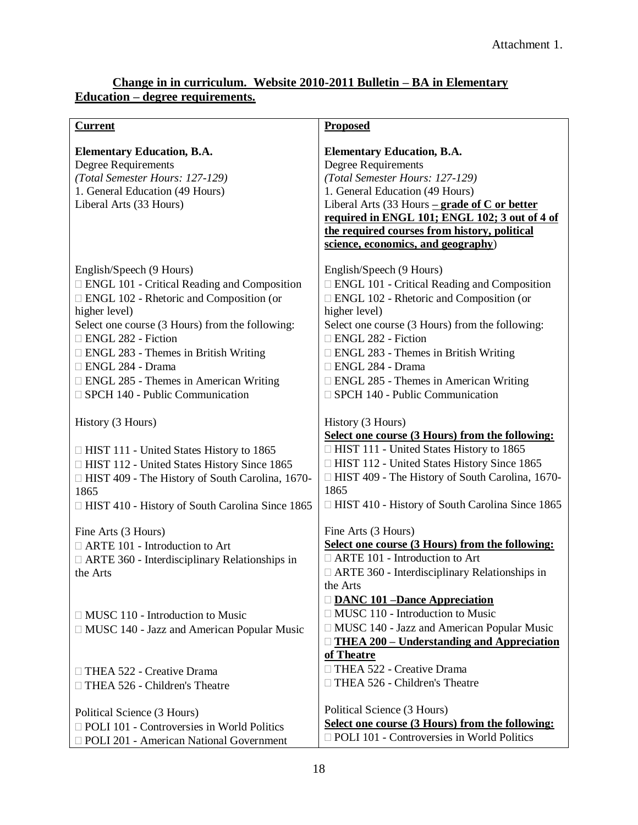## **Change in in curriculum. Website 2010-2011 Bulletin – BA in Elementary Education – degree requirements.**

| <b>Current</b>                                                                                                                                                                                                                                                                                                                                                                     | <b>Proposed</b>                                                                                                                                                                                                                                                                                                                                                     |
|------------------------------------------------------------------------------------------------------------------------------------------------------------------------------------------------------------------------------------------------------------------------------------------------------------------------------------------------------------------------------------|---------------------------------------------------------------------------------------------------------------------------------------------------------------------------------------------------------------------------------------------------------------------------------------------------------------------------------------------------------------------|
| <b>Elementary Education, B.A.</b><br><b>Degree Requirements</b><br>(Total Semester Hours: 127-129)<br>1. General Education (49 Hours)<br>Liberal Arts (33 Hours)                                                                                                                                                                                                                   | <b>Elementary Education, B.A.</b><br>Degree Requirements<br>(Total Semester Hours: 127-129)<br>1. General Education (49 Hours)<br>Liberal Arts (33 Hours $\frac{-\text{grade of } C \text{ or better}}{2}$<br>required in ENGL 101; ENGL 102; 3 out of 4 of<br>the required courses from history, political<br>science, economics, and geography)                   |
| English/Speech (9 Hours)<br>ENGL 101 - Critical Reading and Composition<br>$\Box$ ENGL 102 - Rhetoric and Composition (or<br>higher level)<br>Select one course (3 Hours) from the following:<br>ENGL 282 - Fiction<br>$\Box$ ENGL 283 - Themes in British Writing<br>□ ENGL 284 - Drama<br>$\Box$ ENGL 285 - Themes in American Writing<br>$\Box$ SPCH 140 - Public Communication | English/Speech (9 Hours)<br>□ ENGL 101 - Critical Reading and Composition<br>$\Box$ ENGL 102 - Rhetoric and Composition (or<br>higher level)<br>Select one course (3 Hours) from the following:<br>ENGL 282 - Fiction<br>ENGL 283 - Themes in British Writing<br>□ ENGL 284 - Drama<br>□ ENGL 285 - Themes in American Writing<br>□ SPCH 140 - Public Communication |
| History (3 Hours)<br>□ HIST 111 - United States History to 1865<br>□ HIST 112 - United States History Since 1865<br>□ HIST 409 - The History of South Carolina, 1670-<br>1865<br>□ HIST 410 - History of South Carolina Since 1865                                                                                                                                                 | History (3 Hours)<br>Select one course (3 Hours) from the following:<br>□ HIST 111 - United States History to 1865<br>□ HIST 112 - United States History Since 1865<br>□ HIST 409 - The History of South Carolina, 1670-<br>1865<br>$\Box$ HIST 410 - History of South Carolina Since 1865                                                                          |
| Fine Arts (3 Hours)<br>ARTE 101 - Introduction to Art<br>□ ARTE 360 - Interdisciplinary Relationships in<br>the Arts                                                                                                                                                                                                                                                               | Fine Arts (3 Hours)<br>Select one course (3 Hours) from the following:<br>$\Box$ ARTE 101 - Introduction to Art<br>$\Box$ ARTE 360 - Interdisciplinary Relationships in<br>the Arts                                                                                                                                                                                 |
| $\Box$ MUSC 110 - Introduction to Music<br>$\Box$ MUSC 140 - Jazz and American Popular Music                                                                                                                                                                                                                                                                                       | <b>DANC 101 -Dance Appreciation</b><br>$\Box$ MUSC 110 - Introduction to Music<br>$\Box$ MUSC 140 - Jazz and American Popular Music<br>□ THEA 200 – Understanding and Appreciation<br>of Theatre                                                                                                                                                                    |
| THEA 522 - Creative Drama<br>$\Box$ THEA 526 - Children's Theatre                                                                                                                                                                                                                                                                                                                  | □ THEA 522 - Creative Drama<br>□ THEA 526 - Children's Theatre                                                                                                                                                                                                                                                                                                      |
| Political Science (3 Hours)<br>$\Box$ POLI 101 - Controversies in World Politics<br>D POLI 201 - American National Government                                                                                                                                                                                                                                                      | Political Science (3 Hours)<br>Select one course (3 Hours) from the following:<br><b>D</b> POLI 101 - Controversies in World Politics                                                                                                                                                                                                                               |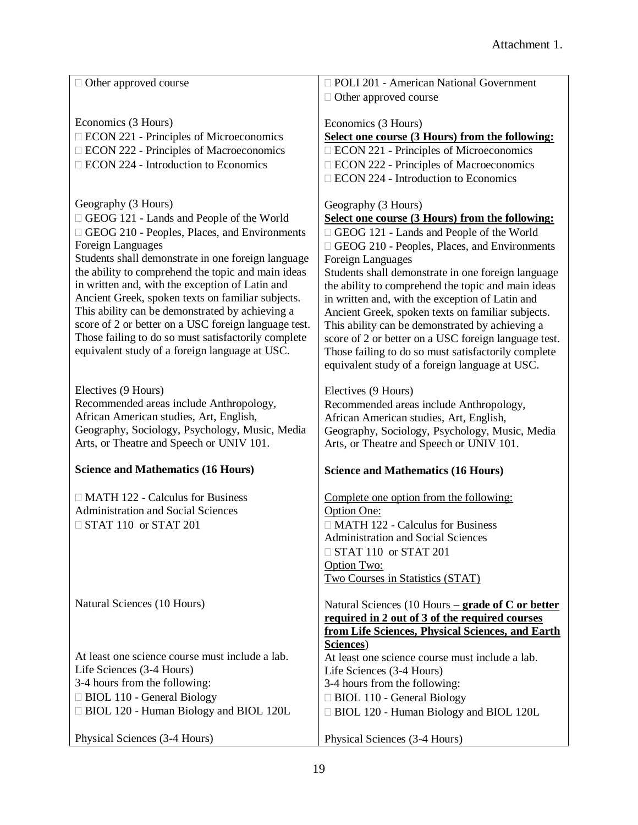| □ Other approved course                                                                              | D POLI 201 - American National Government                                                            |
|------------------------------------------------------------------------------------------------------|------------------------------------------------------------------------------------------------------|
|                                                                                                      | $\Box$ Other approved course                                                                         |
| Economics (3 Hours)                                                                                  | Economics (3 Hours)                                                                                  |
| <b>ECON 221 - Principles of Microeconomics</b>                                                       | Select one course (3 Hours) from the following:                                                      |
| <b>ECON 222 - Principles of Macroeconomics</b>                                                       | □ ECON 221 - Principles of Microeconomics                                                            |
| $\Box$ ECON 224 - Introduction to Economics                                                          | □ ECON 222 - Principles of Macroeconomics                                                            |
|                                                                                                      | □ ECON 224 - Introduction to Economics                                                               |
| Geography (3 Hours)                                                                                  | Geography (3 Hours)                                                                                  |
| GEOG 121 - Lands and People of the World                                                             | Select one course (3 Hours) from the following:                                                      |
| GEOG 210 - Peoples, Places, and Environments                                                         | GEOG 121 - Lands and People of the World                                                             |
| Foreign Languages                                                                                    | □ GEOG 210 - Peoples, Places, and Environments                                                       |
| Students shall demonstrate in one foreign language                                                   | <b>Foreign Languages</b>                                                                             |
| the ability to comprehend the topic and main ideas                                                   | Students shall demonstrate in one foreign language                                                   |
| in written and, with the exception of Latin and                                                      | the ability to comprehend the topic and main ideas                                                   |
| Ancient Greek, spoken texts on familiar subjects.<br>This ability can be demonstrated by achieving a | in written and, with the exception of Latin and                                                      |
| score of 2 or better on a USC foreign language test.                                                 | Ancient Greek, spoken texts on familiar subjects.<br>This ability can be demonstrated by achieving a |
| Those failing to do so must satisfactorily complete                                                  | score of 2 or better on a USC foreign language test.                                                 |
| equivalent study of a foreign language at USC.                                                       | Those failing to do so must satisfactorily complete                                                  |
|                                                                                                      | equivalent study of a foreign language at USC.                                                       |
| Electives (9 Hours)                                                                                  | Electives (9 Hours)                                                                                  |
| Recommended areas include Anthropology,                                                              | Recommended areas include Anthropology,                                                              |
| African American studies, Art, English,                                                              | African American studies, Art, English,                                                              |
| Geography, Sociology, Psychology, Music, Media                                                       | Geography, Sociology, Psychology, Music, Media                                                       |
| Arts, or Theatre and Speech or UNIV 101.                                                             | Arts, or Theatre and Speech or UNIV 101.                                                             |
| <b>Science and Mathematics (16 Hours)</b>                                                            | <b>Science and Mathematics (16 Hours)</b>                                                            |
| $\Box$ MATH 122 - Calculus for Business                                                              | Complete one option from the following:                                                              |
| <b>Administration and Social Sciences</b>                                                            | Option One:                                                                                          |
| $\Box$ STAT 110 or STAT 201                                                                          | $\Box$ MATH 122 - Calculus for Business                                                              |
|                                                                                                      | <b>Administration and Social Sciences</b>                                                            |
|                                                                                                      | $\Box$ STAT 110 or STAT 201                                                                          |
|                                                                                                      | Option Two:                                                                                          |
|                                                                                                      | Two Courses in Statistics (STAT)                                                                     |
| Natural Sciences (10 Hours)                                                                          | Natural Sciences (10 Hours – grade of C or better                                                    |
|                                                                                                      | required in 2 out of 3 of the required courses                                                       |
|                                                                                                      | from Life Sciences, Physical Sciences, and Earth                                                     |
| At least one science course must include a lab.                                                      | Sciences)<br>At least one science course must include a lab.                                         |
| Life Sciences (3-4 Hours)                                                                            | Life Sciences (3-4 Hours)                                                                            |
| 3-4 hours from the following:                                                                        | 3-4 hours from the following:                                                                        |
|                                                                                                      |                                                                                                      |
|                                                                                                      |                                                                                                      |
| □ BIOL 110 - General Biology<br>□ BIOL 120 - Human Biology and BIOL 120L                             | □ BIOL 110 - General Biology<br>□ BIOL 120 - Human Biology and BIOL 120L                             |
| Physical Sciences (3-4 Hours)                                                                        | Physical Sciences (3-4 Hours)                                                                        |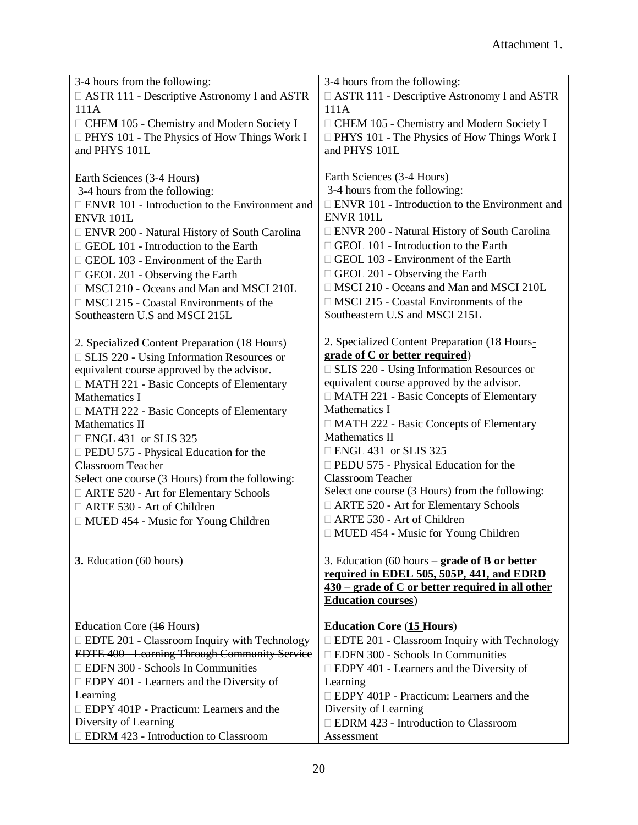| 3-4 hours from the following:                         | 3-4 hours from the following:                         |  |
|-------------------------------------------------------|-------------------------------------------------------|--|
| □ ASTR 111 - Descriptive Astronomy I and ASTR         | □ ASTR 111 - Descriptive Astronomy I and ASTR         |  |
| 111A                                                  | 111A                                                  |  |
| □ CHEM 105 - Chemistry and Modern Society I           | □ CHEM 105 - Chemistry and Modern Society I           |  |
| $\Box$ PHYS 101 - The Physics of How Things Work I    | $\Box$ PHYS 101 - The Physics of How Things Work I    |  |
| and PHYS 101L                                         | and PHYS 101L                                         |  |
|                                                       |                                                       |  |
| Earth Sciences (3-4 Hours)                            | Earth Sciences (3-4 Hours)                            |  |
| 3-4 hours from the following:                         | 3-4 hours from the following:                         |  |
| $\Box$ ENVR 101 - Introduction to the Environment and | $\Box$ ENVR 101 - Introduction to the Environment and |  |
| <b>ENVR 101L</b>                                      | <b>ENVR 101L</b>                                      |  |
| □ ENVR 200 - Natural History of South Carolina        | $\Box$ ENVR 200 - Natural History of South Carolina   |  |
| $\Box$ GEOL 101 - Introduction to the Earth           | $\Box$ GEOL 101 - Introduction to the Earth           |  |
| $\Box$ GEOL 103 - Environment of the Earth            | $\Box$ GEOL 103 - Environment of the Earth            |  |
| GEOL 201 - Observing the Earth                        | GEOL 201 - Observing the Earth                        |  |
| □ MSCI 210 - Oceans and Man and MSCI 210L             | □ MSCI 210 - Oceans and Man and MSCI 210L             |  |
| $\Box$ MSCI 215 - Coastal Environments of the         | $\Box$ MSCI 215 - Coastal Environments of the         |  |
| Southeastern U.S and MSCI 215L                        | Southeastern U.S and MSCI 215L                        |  |
|                                                       |                                                       |  |
| 2. Specialized Content Preparation (18 Hours)         | 2. Specialized Content Preparation (18 Hours-         |  |
| □ SLIS 220 - Using Information Resources or           | grade of C or better required)                        |  |
| equivalent course approved by the advisor.            | $\Box$ SLIS 220 - Using Information Resources or      |  |
| □ MATH 221 - Basic Concepts of Elementary             | equivalent course approved by the advisor.            |  |
| Mathematics I                                         | □ MATH 221 - Basic Concepts of Elementary             |  |
| □ MATH 222 - Basic Concepts of Elementary             | Mathematics I                                         |  |
| Mathematics II                                        | $\Box$ MATH 222 - Basic Concepts of Elementary        |  |
| $\Box$ ENGL 431 or SLIS 325                           | Mathematics II                                        |  |
| $\Box$ PEDU 575 - Physical Education for the          | $\Box$ ENGL 431 or SLIS 325                           |  |
| <b>Classroom Teacher</b>                              | $\Box$ PEDU 575 - Physical Education for the          |  |
| Select one course (3 Hours) from the following:       | <b>Classroom Teacher</b>                              |  |
| □ ARTE 520 - Art for Elementary Schools               | Select one course (3 Hours) from the following:       |  |
| □ ARTE 530 - Art of Children                          | □ ARTE 520 - Art for Elementary Schools               |  |
| □ MUED 454 - Music for Young Children                 | □ ARTE 530 - Art of Children                          |  |
|                                                       | $\Box$ MUED 454 - Music for Young Children            |  |
|                                                       |                                                       |  |
| 3. Education (60 hours)                               | 3. Education (60 hours $-$ grade of B or better       |  |
|                                                       | required in EDEL 505, 505P, 441, and EDRD             |  |
|                                                       | $430$ – grade of C or better required in all other    |  |
|                                                       | <b>Education courses)</b>                             |  |
|                                                       |                                                       |  |
| Education Core (16 Hours)                             | <b>Education Core (15 Hours)</b>                      |  |
| <b>EDTE 201 - Classroom Inquiry with Technology</b>   | □ EDTE 201 - Classroom Inquiry with Technology        |  |
| EDTE 400 - Learning Through Community Service         | <b>EDFN 300 - Schools In Communities</b>              |  |
| <b>EDFN 300 - Schools In Communities</b>              | $\Box$ EDPY 401 - Learners and the Diversity of       |  |
| $\Box$ EDPY 401 - Learners and the Diversity of       | Learning                                              |  |
| Learning                                              | $\Box$ EDPY 401P - Practicum: Learners and the        |  |
| $\Box$ EDPY 401P - Practicum: Learners and the        | Diversity of Learning                                 |  |
| Diversity of Learning                                 | □ EDRM 423 - Introduction to Classroom                |  |
| <b>EDRM 423 - Introduction to Classroom</b>           | Assessment                                            |  |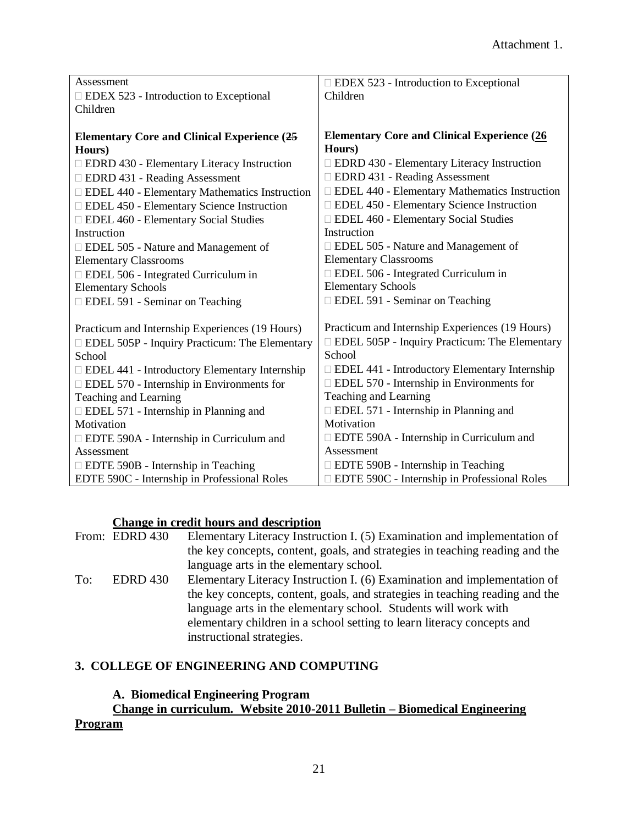| Assessment                                           | $\Box$ EDEX 523 - Introduction to Exceptional        |
|------------------------------------------------------|------------------------------------------------------|
| $\Box$ EDEX 523 - Introduction to Exceptional        | Children                                             |
| Children                                             |                                                      |
|                                                      |                                                      |
| <b>Elementary Core and Clinical Experience (25</b>   | <b>Elementary Core and Clinical Experience (26)</b>  |
| Hours)                                               | Hours)                                               |
| $\Box$ EDRD 430 - Elementary Literacy Instruction    | $\Box$ EDRD 430 - Elementary Literacy Instruction    |
| □ EDRD 431 - Reading Assessment                      | □ EDRD 431 - Reading Assessment                      |
| $\Box$ EDEL 440 - Elementary Mathematics Instruction | $\Box$ EDEL 440 - Elementary Mathematics Instruction |
| □ EDEL 450 - Elementary Science Instruction          | □ EDEL 450 - Elementary Science Instruction          |
| <b>EDEL 460 - Elementary Social Studies</b>          | <b>EDEL 460 - Elementary Social Studies</b>          |
| Instruction                                          | Instruction                                          |
| $\Box$ EDEL 505 - Nature and Management of           | □ EDEL 505 - Nature and Management of                |
| <b>Elementary Classrooms</b>                         | <b>Elementary Classrooms</b>                         |
| □ EDEL 506 - Integrated Curriculum in                | $\Box$ EDEL 506 - Integrated Curriculum in           |
| <b>Elementary Schools</b>                            | <b>Elementary Schools</b>                            |
| □ EDEL 591 - Seminar on Teaching                     | □ EDEL 591 - Seminar on Teaching                     |
|                                                      |                                                      |
| Practicum and Internship Experiences (19 Hours)      | Practicum and Internship Experiences (19 Hours)      |
| <b>EDEL 505P - Inquiry Practicum: The Elementary</b> | $\Box$ EDEL 505P - Inquiry Practicum: The Elementary |
| School                                               | School                                               |
| $\Box$ EDEL 441 - Introductory Elementary Internship | $\Box$ EDEL 441 - Introductory Elementary Internship |
| $\Box$ EDEL 570 - Internship in Environments for     | $\Box$ EDEL 570 - Internship in Environments for     |
| Teaching and Learning                                | Teaching and Learning                                |
| $\Box$ EDEL 571 - Internship in Planning and         | $\Box$ EDEL 571 - Internship in Planning and         |
| Motivation                                           | Motivation                                           |
| $\Box$ EDTE 590A - Internship in Curriculum and      | $\Box$ EDTE 590A - Internship in Curriculum and      |
| Assessment                                           | Assessment                                           |
| $\Box$ EDTE 590B - Internship in Teaching            | $\Box$ EDTE 590B - Internship in Teaching            |
| EDTE 590C - Internship in Professional Roles         | □ EDTE 590C - Internship in Professional Roles       |

#### **Change in credit hours and description**

From: EDRD 430 Elementary Literacy Instruction I. (5) Examination and implementation of the key concepts, content, goals, and strategies in teaching reading and the language arts in the elementary school. To: EDRD 430 Elementary Literacy Instruction I. (6) Examination and implementation of the key concepts, content, goals, and strategies in teaching reading and the language arts in the elementary school. Students will work with elementary children in a school setting to learn literacy concepts and instructional strategies.

# **3. COLLEGE OF ENGINEERING AND COMPUTING**

#### **A. Biomedical Engineering Program**

# **Change in curriculum. Website 2010-2011 Bulletin – Biomedical Engineering**

#### **Program**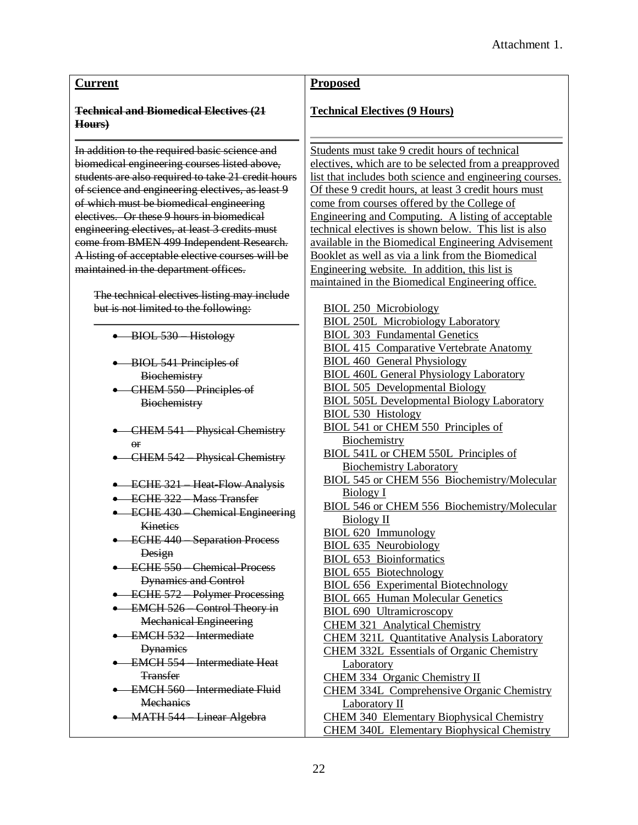#### **Current**

#### **Technical and Biomedical Electives (21 Hours)**

In addition to the required basic science and biomedical engineering courses listed above, students are also required to take 21 credit hours of science and engineering electives, as least 9 of which must be biomedical engineering electives. Or these 9 hours in biomedical engineering electives, at least 3 credits must come from BMEN 499 Independent Research. A listing of acceptable elective courses will be maintained in the department offices.

The technical electives listing may include but is not limited to the following:

- BIOL 530 Histology
- BIOL 541 Principles of **Biochemistry**
- CHEM 550 Principles of **Biochemistry**
- CHEM 541 Physical Chemistry or
- CHEM 542 Physical Chemistry
- ECHE 321 Heat-Flow Analysis
- **ECHE 322 Mass Transfer**
- ECHE 430 Chemical Engineering **Kinetics**
- **ECHE 440 Separation Process** Design
- **ECHE 550 Chemical Process** Dynamics and Control
- ECHE 572 Polymer Processing
- **EMCH 526** Control Theory in Mechanical Engineering
- EMCH 532 Intermediate **Dynamics**
- EMCH 554 Intermediate Heat **Transfer**
- EMCH 560 Intermediate Fluid **Mechanics**
- MATH 544 Linear Algebra

#### **Proposed**

#### **Technical Electives (9 Hours)**

Students must take 9 credit hours of technical electives, which are to be selected from a preapproved list that includes both science and engineering courses. Of these 9 credit hours, at least 3 credit hours must come from courses offered by the College of Engineering and Computing. A listing of acceptable technical electives is shown below. This list is also available in the Biomedical Engineering Advisement Booklet as well as via a link from the Biomedical Engineering website. In addition, this list is maintained in the Biomedical Engineering office.

- BIOL 250 Microbiology BIOL 250L Microbiology Laboratory BIOL 303 Fundamental Genetics BIOL 415 Comparative Vertebrate Anatomy BIOL 460 General Physiology BIOL 460L General Physiology Laboratory BIOL 505 Developmental Biology BIOL 505L Developmental Biology Laboratory BIOL 530 Histology BIOL 541 or CHEM 550 Principles of Biochemistry BIOL 541L or CHEM 550L Principles of Biochemistry Laboratory BIOL 545 or CHEM 556 Biochemistry/Molecular Biology I BIOL 546 or CHEM 556 Biochemistry/Molecular Biology II BIOL 620 Immunology BIOL 635 Neurobiology BIOL 653 Bioinformatics BIOL 655 Biotechnology BIOL 656 Experimental Biotechnology BIOL 665 Human Molecular Genetics BIOL 690 Ultramicroscopy CHEM 321 Analytical Chemistry CHEM 321L Quantitative Analysis Laboratory CHEM 332L Essentials of Organic Chemistry Laboratory
- CHEM 334 Organic Chemistry II CHEM 334L Comprehensive Organic Chemistry
- Laboratory II
- CHEM 340 Elementary Biophysical Chemistry CHEM 340L Elementary Biophysical Chemistry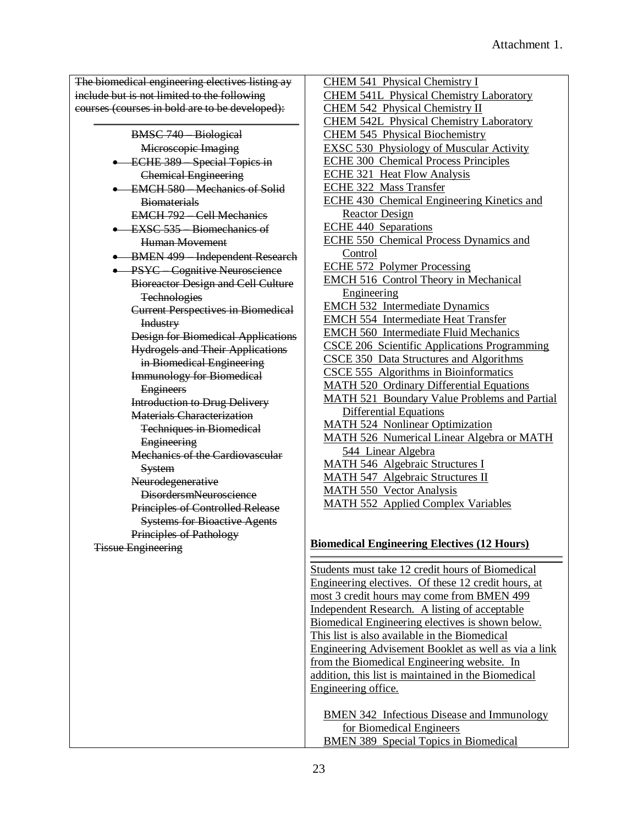The biomedical engineering electives listing ay include but is not limited to the following courses (courses in bold are to be developed):

BMSC 740 – Biological Microscopic Imaging **ECHE 389** Special Topics in Chemical Engineering • EMCH 580 Mechanics of Solid **Biomaterials** EMCH 792 – Cell Mechanics • EXSC 535 Biomechanics of Human Movement • BMEN 499 Independent Research **• PSYC** Cognitive Neuroscience Bioreactor Design and Cell Culture **Technologies** Current Perspectives in Biomedical Industry Design for Biomedical Applications Hydrogels and Their Applications in Biomedical Engineering Immunology for Biomedical **Engineers** Introduction to Drug Delivery Materials Characterization Techniques in Biomedical **Engineering** Mechanics of the Cardiovascular **System** Neurodegenerative DisordersmNeuroscience Principles of Controlled Release Systems for Bioactive Agents Principles of Pathology Tissue Engineering

CHEM 541 Physical Chemistry I CHEM 541L Physical Chemistry Laboratory CHEM 542 Physical Chemistry II CHEM 542L Physical Chemistry Laboratory CHEM 545 Physical Biochemistry EXSC 530 Physiology of Muscular Activity ECHE 300 Chemical Process Principles ECHE 321 Heat Flow Analysis ECHE 322 Mass Transfer ECHE 430 Chemical Engineering Kinetics and Reactor Design ECHE 440 Separations ECHE 550 Chemical Process Dynamics and Control ECHE 572 Polymer Processing EMCH 516 Control Theory in Mechanical Engineering EMCH 532 Intermediate Dynamics EMCH 554 Intermediate Heat Transfer EMCH 560 Intermediate Fluid Mechanics CSCE 206 Scientific Applications Programming CSCE 350 Data Structures and Algorithms CSCE 555 Algorithms in Bioinformatics MATH 520 Ordinary Differential Equations MATH 521 Boundary Value Problems and Partial Differential Equations MATH 524 Nonlinear Optimization MATH 526 Numerical Linear Algebra or MATH 544 Linear Algebra MATH 546 Algebraic Structures I MATH 547 Algebraic Structures II MATH 550 Vector Analysis MATH 552 Applied Complex Variables

#### **Biomedical Engineering Electives (12 Hours)**

Students must take 12 credit hours of Biomedical Engineering electives. Of these 12 credit hours, at most 3 credit hours may come from BMEN 499 Independent Research. A listing of acceptable Biomedical Engineering electives is shown below. This list is also available in the Biomedical Engineering Advisement Booklet as well as via a link from the Biomedical Engineering website. In addition, this list is maintained in the Biomedical Engineering office.

BMEN 342 Infectious Disease and Immunology for Biomedical Engineers BMEN 389 Special Topics in Biomedical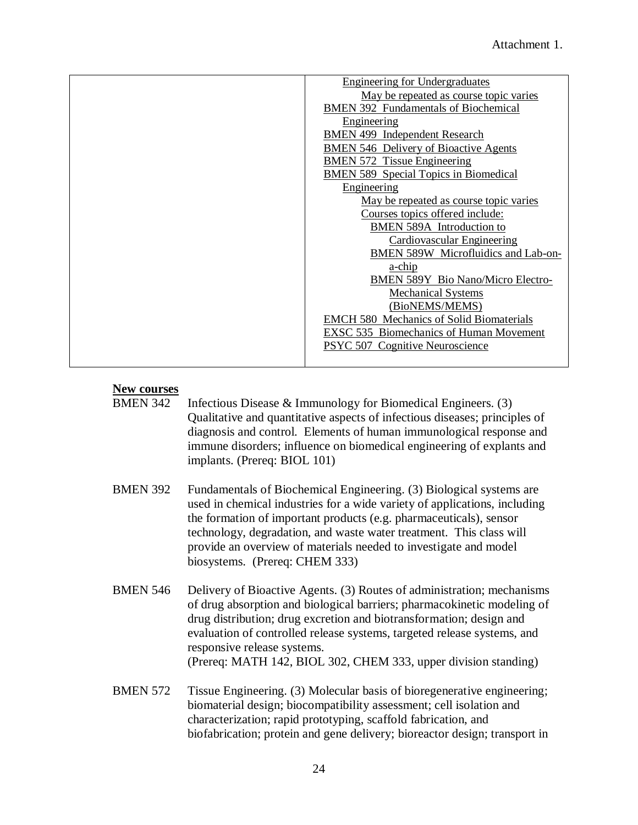| <b>Engineering for Undergraduates</b>           |
|-------------------------------------------------|
| May be repeated as course topic varies          |
| <b>BMEN 392 Fundamentals of Biochemical</b>     |
| Engineering                                     |
| <b>BMEN 499 Independent Research</b>            |
| <b>BMEN 546 Delivery of Bioactive Agents</b>    |
| <b>BMEN 572 Tissue Engineering</b>              |
| <b>BMEN 589 Special Topics in Biomedical</b>    |
| Engineering                                     |
| May be repeated as course topic varies          |
| Courses topics offered include:                 |
| BMEN 589A Introduction to                       |
| Cardiovascular Engineering                      |
| BMEN 589W Microfluidics and Lab-on-             |
| a-chip                                          |
| <b>BMEN 589Y Bio Nano/Micro Electro-</b>        |
| <b>Mechanical Systems</b>                       |
| (BioNEMS/MEMS)                                  |
| <b>EMCH 580 Mechanics of Solid Biomaterials</b> |
| <b>EXSC 535 Biomechanics of Human Movement</b>  |
| PSYC 507 Cognitive Neuroscience                 |
|                                                 |

# **New courses**

- Infectious Disease  $& \text{Immunology}$  for Biomedical Engineers. (3) Qualitative and quantitative aspects of infectious diseases; principles of diagnosis and control. Elements of human immunological response and immune disorders; influence on biomedical engineering of explants and implants. (Prereq: BIOL 101)
- BMEN 392 Fundamentals of Biochemical Engineering. (3) Biological systems are used in chemical industries for a wide variety of applications, including the formation of important products (e.g. pharmaceuticals), sensor technology, degradation, and waste water treatment. This class will provide an overview of materials needed to investigate and model biosystems. (Prereq: CHEM 333)
- BMEN 546 Delivery of Bioactive Agents. (3) Routes of administration; mechanisms of drug absorption and biological barriers; pharmacokinetic modeling of drug distribution; drug excretion and biotransformation; design and evaluation of controlled release systems, targeted release systems, and responsive release systems. (Prereq: MATH 142, BIOL 302, CHEM 333, upper division standing)
- BMEN 572 Tissue Engineering. (3) Molecular basis of bioregenerative engineering; biomaterial design; biocompatibility assessment; cell isolation and characterization; rapid prototyping, scaffold fabrication, and biofabrication; protein and gene delivery; bioreactor design; transport in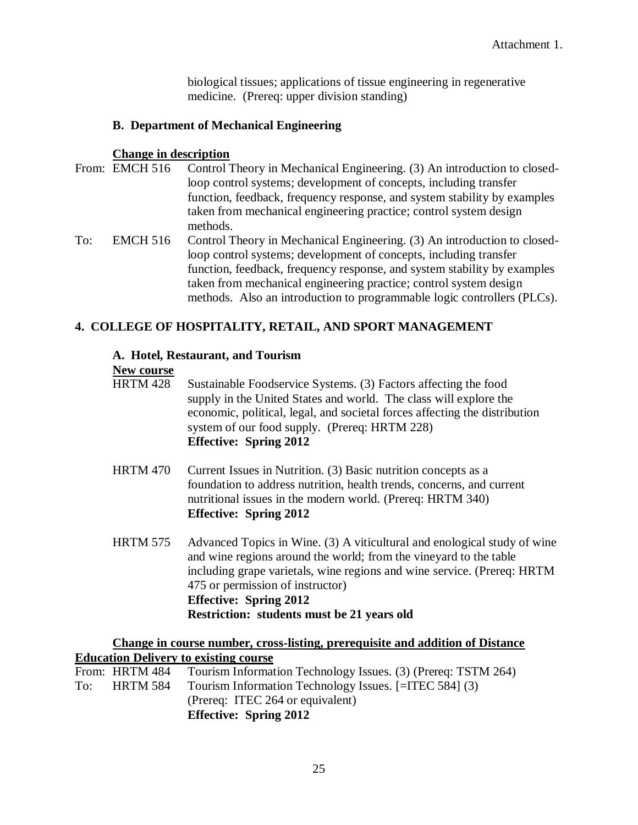biological tissues; applications of tissue engineering in regenerative medicine. (Prereq: upper division standing)

# **B. Department of Mechanical Engineering**

## **Change in description**

- From: EMCH 516 Control Theory in Mechanical Engineering. (3) An introduction to closedloop control systems; development of concepts, including transfer function, feedback, frequency response, and system stability by examples taken from mechanical engineering practice; control system design methods.
- To: EMCH 516 Control Theory in Mechanical Engineering. (3) An introduction to closedloop control systems; development of concepts, including transfer function, feedback, frequency response, and system stability by examples taken from mechanical engineering practice; control system design methods. Also an introduction to programmable logic controllers (PLCs).

# **4. COLLEGE OF HOSPITALITY, RETAIL, AND SPORT MANAGEMENT**

### **A. Hotel, Restaurant, and Tourism**

### **New course**

- HRTM 428 Sustainable Foodservice Systems. (3) Factors affecting the food supply in the United States and world. The class will explore the economic, political, legal, and societal forces affecting the distribution system of our food supply. (Prereq: HRTM 228) **Effective: Spring 2012**
- HRTM 470 Current Issues in Nutrition. (3) Basic nutrition concepts as a foundation to address nutrition, health trends, concerns, and current nutritional issues in the modern world. (Prereq: HRTM 340) **Effective: Spring 2012**
- HRTM 575 Advanced Topics in Wine. (3) A viticultural and enological study of wine and wine regions around the world; from the vineyard to the table including grape varietals, wine regions and wine service. (Prereq: HRTM 475 or permission of instructor) **Effective: Spring 2012 Restriction: students must be 21 years old**

# **Change in course number, cross-listing, prerequisite and addition of Distance Education Delivery to existing course**

|     |                | (Prereq: ITEC 264 or equivalent)<br><b>Effective: Spring 2012</b> |
|-----|----------------|-------------------------------------------------------------------|
| To: | HRTM 584       | Tourism Information Technology Issues. [=ITEC 584] (3)            |
|     | From: HRTM 484 | Tourism Information Technology Issues. (3) (Prereq: TSTM 264)     |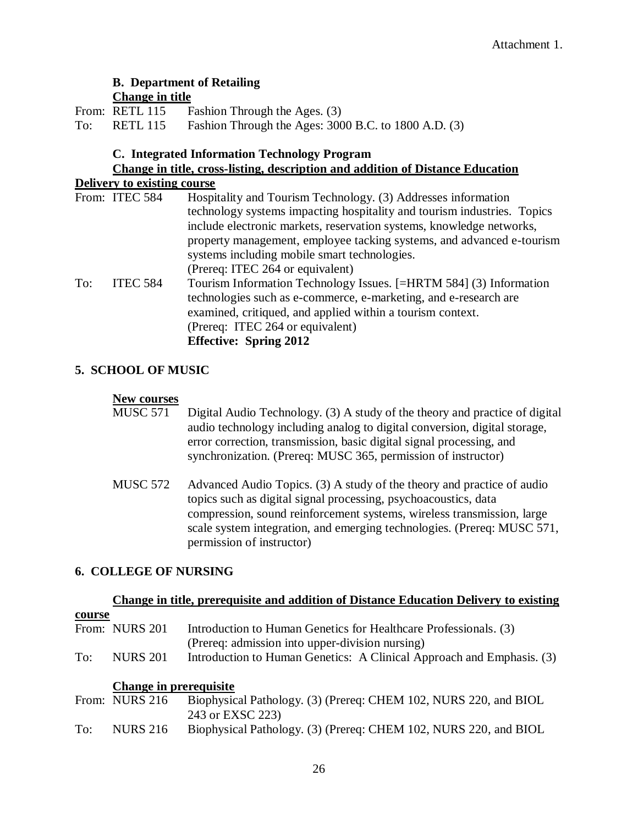# **B. Department of Retailing Change in title**

|     | From: RETL 115  | Fashion Through the Ages. (3)                        |
|-----|-----------------|------------------------------------------------------|
| To: | <b>RETL 115</b> | Fashion Through the Ages: 3000 B.C. to 1800 A.D. (3) |

### **C. Integrated Information Technology Program**

# **Change in title, cross-listing, description and addition of Distance Education**

# **Delivery to existing course**

|     | From: ITEC 584  | Hospitality and Tourism Technology. (3) Addresses information           |
|-----|-----------------|-------------------------------------------------------------------------|
|     |                 | technology systems impacting hospitality and tourism industries. Topics |
|     |                 | include electronic markets, reservation systems, knowledge networks,    |
|     |                 | property management, employee tacking systems, and advanced e-tourism   |
|     |                 | systems including mobile smart technologies.                            |
|     |                 | (Prereq: ITEC 264 or equivalent)                                        |
| To: | <b>ITEC 584</b> | Tourism Information Technology Issues. [=HRTM 584] (3) Information      |
|     |                 | technologies such as e-commerce, e-marketing, and e-research are        |
|     |                 | examined, critiqued, and applied within a tourism context.              |
|     |                 | (Prereq: ITEC 264 or equivalent)                                        |
|     |                 | <b>Effective: Spring 2012</b>                                           |

# **5. SCHOOL OF MUSIC**

### **New courses**

| MUSC 571 | Digital Audio Technology. (3) A study of the theory and practice of digital |
|----------|-----------------------------------------------------------------------------|
|          | audio technology including analog to digital conversion, digital storage,   |
|          | error correction, transmission, basic digital signal processing, and        |
|          | synchronization. (Prereq: MUSC 365, permission of instructor)               |

MUSC 572 Advanced Audio Topics. (3) A study of the theory and practice of audio topics such as digital signal processing, psychoacoustics, data compression, sound reinforcement systems, wireless transmission, large scale system integration, and emerging technologies. (Prereq: MUSC 571, permission of instructor)

# **6. COLLEGE OF NURSING**

#### **Change in title, prerequisite and addition of Distance Education Delivery to existing**

| <u>course</u> |                 |                                                                       |
|---------------|-----------------|-----------------------------------------------------------------------|
|               | From: NURS 201  | Introduction to Human Genetics for Healthcare Professionals. (3)      |
|               |                 | (Prereq: admission into upper-division nursing)                       |
| To:           | <b>NURS 201</b> | Introduction to Human Genetics: A Clinical Approach and Emphasis. (3) |
|               |                 |                                                                       |

#### **Change in prerequisite**

|     | From: NURS 216  | Biophysical Pathology. (3) (Prereq: CHEM 102, NURS 220, and BIOL |
|-----|-----------------|------------------------------------------------------------------|
|     |                 | 243 or EXSC 223)                                                 |
| To: | <b>NURS 216</b> | Biophysical Pathology. (3) (Prereq: CHEM 102, NURS 220, and BIOL |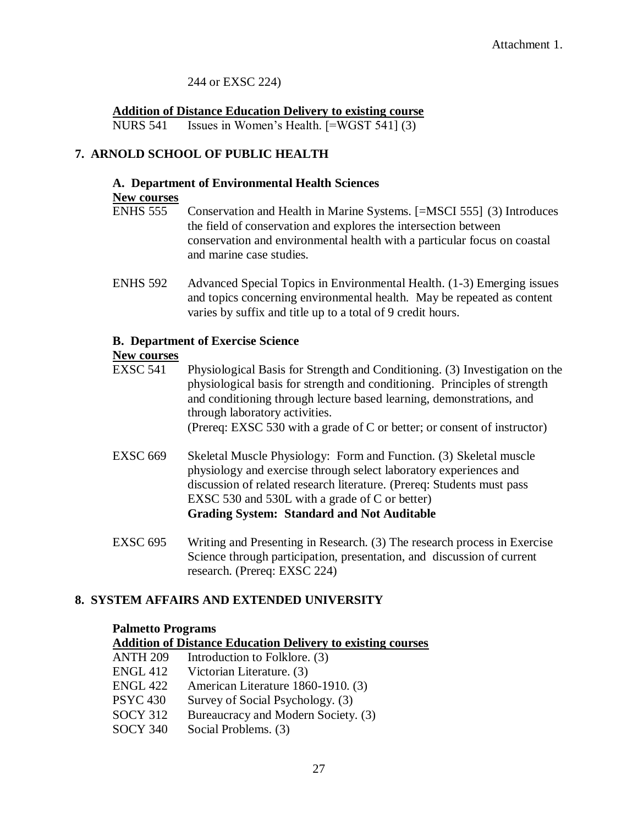## 244 or EXSC 224)

**Addition of Distance Education Delivery to existing course** NURS 541 Issues in Women's Health. [=WGST 541] (3)

# **7. ARNOLD SCHOOL OF PUBLIC HEALTH**

# **A. Department of Environmental Health Sciences**

#### **New courses**

- ENHS 555 Conservation and Health in Marine Systems. [=MSCI 555] (3) Introduces the field of conservation and explores the intersection between conservation and environmental health with a particular focus on coastal and marine case studies.
- ENHS 592 Advanced Special Topics in Environmental Health. (1-3) Emerging issues and topics concerning environmental health. May be repeated as content varies by suffix and title up to a total of 9 credit hours.

# **B. Department of Exercise Science**

# **New courses**

- EXSC 541 Physiological Basis for Strength and Conditioning. (3) Investigation on the physiological basis for strength and conditioning. Principles of strength and conditioning through lecture based learning, demonstrations, and through laboratory activities. (Prereq: EXSC 530 with a grade of C or better; or consent of instructor)
- EXSC 669 Skeletal Muscle Physiology: Form and Function. (3) Skeletal muscle physiology and exercise through select laboratory experiences and discussion of related research literature. (Prereq: Students must pass EXSC 530 and 530L with a grade of C or better) **Grading System: Standard and Not Auditable**
- EXSC 695 Writing and Presenting in Research. (3) The research process in Exercise Science through participation, presentation, and discussion of current research. (Prereq: EXSC 224)

# **8. SYSTEM AFFAIRS AND EXTENDED UNIVERSITY**

#### **Palmetto Programs**

**Addition of Distance Education Delivery to existing courses**

ANTH 209 Introduction to Folklore. (3) ENGL 412 Victorian Literature. (3) ENGL 422 American Literature 1860-1910. (3) PSYC 430 Survey of Social Psychology. (3) SOCY 312 Bureaucracy and Modern Society. (3) SOCY 340 Social Problems. (3)